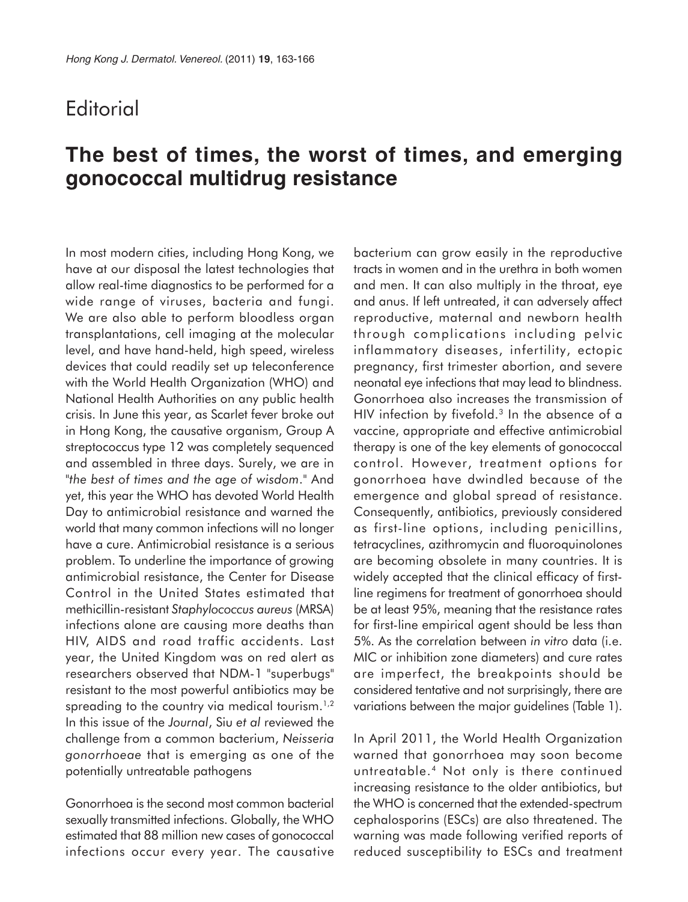## **Editorial**

## **The best of times, the worst of times, and emerging gonococcal multidrug resistance**

In most modern cities, including Hong Kong, we have at our disposal the latest technologies that allow real-time diagnostics to be performed for a wide range of viruses, bacteria and fungi. We are also able to perform bloodless organ transplantations, cell imaging at the molecular level, and have hand-held, high speed, wireless devices that could readily set up teleconference with the World Health Organization (WHO) and National Health Authorities on any public health crisis. In June this year, as Scarlet fever broke out in Hong Kong, the causative organism, Group A streptococcus type 12 was completely sequenced and assembled in three days. Surely, we are in "*the best of times and the age of wisdom*." And yet, this year the WHO has devoted World Health Day to antimicrobial resistance and warned the world that many common infections will no longer have a cure. Antimicrobial resistance is a serious problem. To underline the importance of growing antimicrobial resistance, the Center for Disease Control in the United States estimated that methicillin-resistant *Staphylococcus aureus* (MRSA) infections alone are causing more deaths than HIV, AIDS and road traffic accidents. Last year, the United Kingdom was on red alert as researchers observed that NDM-1 "superbugs" resistant to the most powerful antibiotics may be spreading to the country via medical tourism.<sup>1,2</sup> In this issue of the *Journal*, Siu *et al* reviewed the challenge from a common bacterium, *Neisseria gonorrhoeae* that is emerging as one of the potentially untreatable pathogens

Gonorrhoea is the second most common bacterial sexually transmitted infections. Globally, the WHO estimated that 88 million new cases of gonococcal infections occur every year. The causative bacterium can grow easily in the reproductive tracts in women and in the urethra in both women and men. It can also multiply in the throat, eye and anus. If left untreated, it can adversely affect reproductive, maternal and newborn health through complications including pelvic inflammatory diseases, infertility, ectopic pregnancy, first trimester abortion, and severe neonatal eye infections that may lead to blindness. Gonorrhoea also increases the transmission of HIV infection by fivefold. $3$  In the absence of a vaccine, appropriate and effective antimicrobial therapy is one of the key elements of gonococcal control. However, treatment options for gonorrhoea have dwindled because of the emergence and global spread of resistance. Consequently, antibiotics, previously considered as first-line options, including penicillins, tetracyclines, azithromycin and fluoroquinolones are becoming obsolete in many countries. It is widely accepted that the clinical efficacy of firstline regimens for treatment of gonorrhoea should be at least 95%, meaning that the resistance rates for first-line empirical agent should be less than 5%. As the correlation between *in vitro* data (i.e. MIC or inhibition zone diameters) and cure rates are imperfect, the breakpoints should be considered tentative and not surprisingly, there are variations between the major guidelines (Table 1).

In April 2011, the World Health Organization warned that gonorrhoea may soon become untreatable.4 Not only is there continued increasing resistance to the older antibiotics, but the WHO is concerned that the extended-spectrum cephalosporins (ESCs) are also threatened. The warning was made following verified reports of reduced susceptibility to ESCs and treatment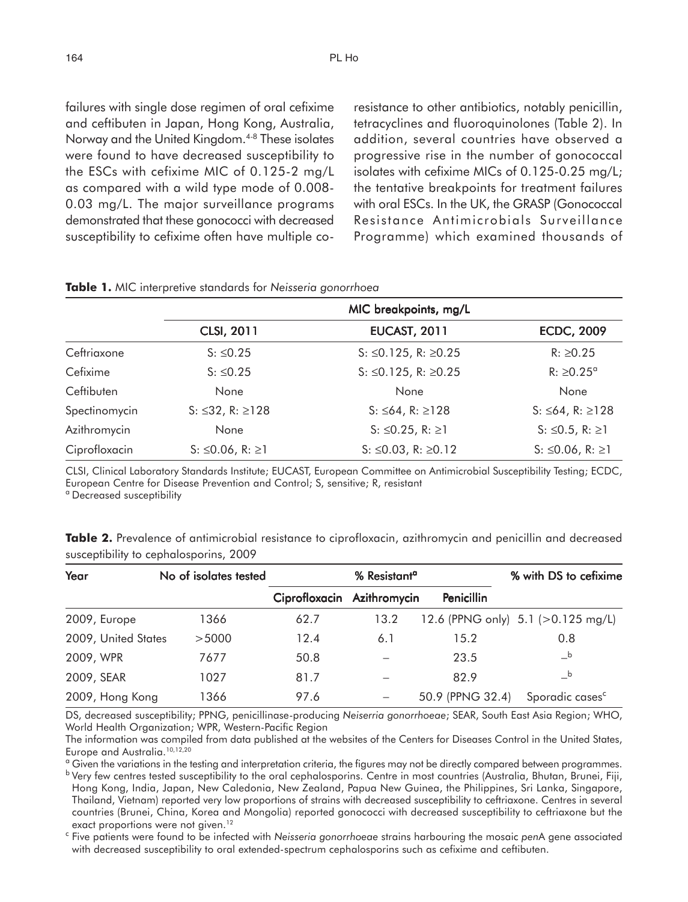failures with single dose regimen of oral cefixime and ceftibuten in Japan, Hong Kong, Australia, Norway and the United Kingdom.4-8 These isolates were found to have decreased susceptibility to the ESCs with cefixime MIC of 0.125-2 mg/L as compared with a wild type mode of 0.008- 0.03 mg/L. The major surveillance programs demonstrated that these gonococci with decreased susceptibility to cefixime often have multiple coresistance to other antibiotics, notably penicillin, tetracyclines and fluoroquinolones (Table 2). In addition, several countries have observed a progressive rise in the number of gonococcal isolates with cefixime MICs of 0.125-0.25 mg/L; the tentative breakpoints for treatment failures with oral ESCs. In the UK, the GRASP (Gonococcal Resistance Antimicrobials Surveillance Programme) which examined thousands of

|               | <b>TUBIC 1.</b> MIC IMPLETED BIGHARD STATES TO PRESSURE GOTTOMMODY<br>MIC breakpoints, mg/L |                                 |                       |  |  |  |
|---------------|---------------------------------------------------------------------------------------------|---------------------------------|-----------------------|--|--|--|
|               | <b>CLSI, 2011</b>                                                                           | <b>EUCAST, 2011</b>             | <b>ECDC, 2009</b>     |  |  |  |
| Ceftriaxone   | $S: \le 0.25$                                                                               | S: ≤0.125, R: ≥0.25             | $R: \ge 0.25$         |  |  |  |
| Cefixime      | $S: \le 0.25$                                                                               | S: ≤0.125, R: ≥0.25             | R: ≥0.25 <sup>α</sup> |  |  |  |
| Ceftibuten    | None                                                                                        | None                            | None                  |  |  |  |
| Spectinomycin | $S: \leq 32$ , R: $\geq 128$                                                                | S: ≤64, R: ≥128                 | S: ≤64, R: ≥128       |  |  |  |
| Azithromycin  | None                                                                                        | S: ≤0.25, R: ≥1                 | S: ≤0.5, R: ≥1        |  |  |  |
| Ciprofloxacin | S: ≤0.06, R: ≥1                                                                             | $S: \leq 0.03$ , R: $\geq 0.12$ | S: ≤0.06, R: ≥1       |  |  |  |

**Table 1.** MIC interpretive standards for *Neisseria gonorrhoea*

CLSI, Clinical Laboratory Standards Institute; EUCAST, European Committee on Antimicrobial Susceptibility Testing; ECDC, European Centre for Disease Prevention and Control; S, sensitive; R, resistant

<sup>a</sup> Decreased susceptibility

**Table 2.** Prevalence of antimicrobial resistance to ciprofloxacin, azithromycin and penicillin and decreased susceptibility to cephalosporins, 2009

| Year                | No of isolates tested | % Resistant <sup>a</sup>   |      |                  | % with DS to cefixime                 |
|---------------------|-----------------------|----------------------------|------|------------------|---------------------------------------|
|                     |                       | Ciprofloxacin Azithromycin |      | Penicillin       |                                       |
| 2009, Europe        | 1366                  | 62.7                       | 13.2 |                  | 12.6 (PPNG only) 5.1 (>0.125 mg/L)    |
| 2009, United States | >5000                 | 12.4                       | 6.1  | 15.2             | 0.8                                   |
| 2009, WPR           | 7677                  | 50.8                       |      | 23.5             | $\overline{\phantom{0}}^{\text{b}}$   |
| 2009, SEAR          | 1027                  | 81.7                       |      | 82.9             | $\overline{\phantom{a}}^{\mathsf{b}}$ |
| 2009, Hong Kong     | 1366                  | 97.6                       |      | 50.9 (PPNG 32.4) | Sporadic cases <sup>c</sup>           |

DS, decreased susceptibility; PPNG, penicillinase-producing *Neiserria gonorrhoeae*; SEAR, South East Asia Region; WHO, World Health Organization; WPR, Western-Pacific Region

The information was compiled from data published at the websites of the Centers for Diseases Control in the United States, Europe and Australia.10,12,20

<sup>a</sup> Given the variations in the testing and interpretation criteria, the figures may not be directly compared between programmes.

<sup>b</sup> Very few centres tested susceptibility to the oral cephalosporins. Centre in most countries (Australia, Bhutan, Brunei, Fiji, Hong Kong, India, Japan, New Caledonia, New Zealand, Papua New Guinea, the Philippines, Sri Lanka, Singapore, Thailand, Vietnam) reported very low proportions of strains with decreased susceptibility to ceftriaxone. Centres in several countries (Brunei, China, Korea and Mongolia) reported gonococci with decreased susceptibility to ceftriaxone but the exact proportions were not given.<sup>12</sup>

<sup>c</sup> Five patients were found to be infected with *Neisseria gonorrhoeae* strains harbouring the mosaic *pen*A gene associated with decreased susceptibility to oral extended-spectrum cephalosporins such as cefixime and ceftibuten.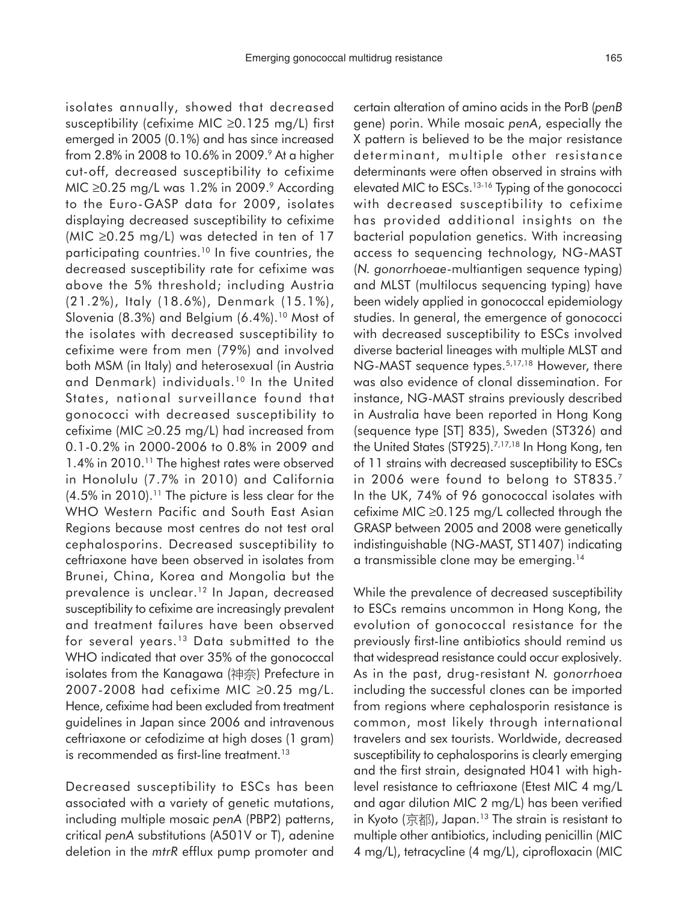isolates annually, showed that decreased susceptibility (cefixime MIC ≥0.125 mg/L) first emerged in 2005 (0.1%) and has since increased from 2.8% in 2008 to 10.6% in 2009.<sup>9</sup> At a higher cut-off, decreased susceptibility to cefixime MIC ≥0.25 mg/L was 1.2% in 2009.<sup>9</sup> According to the Euro-GASP data for 2009, isolates displaying decreased susceptibility to cefixime (MIC ≥0.25 mg/L) was detected in ten of 17 participating countries.10 In five countries, the decreased susceptibility rate for cefixime was above the 5% threshold; including Austria (21.2%), Italy (18.6%), Denmark (15.1%), Slovenia (8.3%) and Belgium  $(6.4\%)$ .<sup>10</sup> Most of the isolates with decreased susceptibility to cefixime were from men (79%) and involved both MSM (in Italy) and heterosexual (in Austria and Denmark) individuals.10 In the United States, national surveillance found that gonococci with decreased susceptibility to cefixime (MIC ≥0.25 mg/L) had increased from 0.1-0.2% in 2000-2006 to 0.8% in 2009 and 1.4% in 2010.<sup>11</sup> The highest rates were observed in Honolulu (7.7% in 2010) and California  $(4.5\%$  in 2010).<sup>11</sup> The picture is less clear for the WHO Western Pacific and South East Asian Regions because most centres do not test oral cephalosporins. Decreased susceptibility to ceftriaxone have been observed in isolates from Brunei, China, Korea and Mongolia but the prevalence is unclear.<sup>12</sup> In Japan, decreased susceptibility to cefixime are increasingly prevalent and treatment failures have been observed for several years.13 Data submitted to the WHO indicated that over 35% of the gonococcal isolates from the Kanagawa (神奈) Prefecture in 2007-2008 had cefixime MIC ≥0.25 mg/L. Hence, cefixime had been excluded from treatment guidelines in Japan since 2006 and intravenous ceftriaxone or cefodizime at high doses (1 gram) is recommended as first-line treatment.<sup>13</sup>

Decreased susceptibility to ESCs has been associated with a variety of genetic mutations, including multiple mosaic *penA* (PBP2) patterns, critical *penA* substitutions (A501V or T), adenine deletion in the *mtrR* efflux pump promoter and certain alteration of amino acids in the PorB (*penB* gene) porin. While mosaic *penA*, especially the X pattern is believed to be the major resistance determinant, multiple other resistance determinants were often observed in strains with elevated MIC to ESCs.13-16 Typing of the gonococci with decreased susceptibility to cefixime has provided additional insights on the bacterial population genetics. With increasing access to sequencing technology, NG-MAST (*N. gonorrhoeae*-multiantigen sequence typing) and MLST (multilocus sequencing typing) have been widely applied in gonococcal epidemiology studies. In general, the emergence of gonococci with decreased susceptibility to ESCs involved diverse bacterial lineages with multiple MLST and NG-MAST sequence types.<sup>5,17,18</sup> However, there was also evidence of clonal dissemination. For instance, NG-MAST strains previously described in Australia have been reported in Hong Kong (sequence type [ST] 835), Sweden (ST326) and the United States (ST925).<sup>7,17,18</sup> In Hong Kong, ten of 11 strains with decreased susceptibility to ESCs in 2006 were found to belong to ST835.7 In the UK, 74% of 96 gonococcal isolates with cefixime MIC ≥0.125 mg/L collected through the GRASP between 2005 and 2008 were genetically indistinguishable (NG-MAST, ST1407) indicating a transmissible clone may be emerging.14

While the prevalence of decreased susceptibility to ESCs remains uncommon in Hong Kong, the evolution of gonococcal resistance for the previously first-line antibiotics should remind us that widespread resistance could occur explosively. As in the past, drug-resistant *N. gonorrhoea* including the successful clones can be imported from regions where cephalosporin resistance is common, most likely through international travelers and sex tourists. Worldwide, decreased susceptibility to cephalosporins is clearly emerging and the first strain, designated H041 with highlevel resistance to ceftriaxone (Etest MIC 4 mg/L and agar dilution MIC 2 mg/L) has been verified in Kyoto  $($ 京都), Japan.<sup>13</sup> The strain is resistant to multiple other antibiotics, including penicillin (MIC 4 mg/L), tetracycline (4 mg/L), ciprofloxacin (MIC